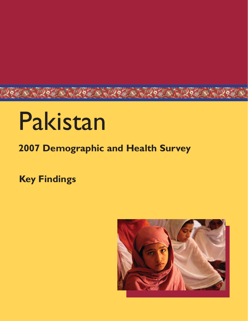# Pakistan

# **2007 Demographic and Health Survey**

**Key Findings**

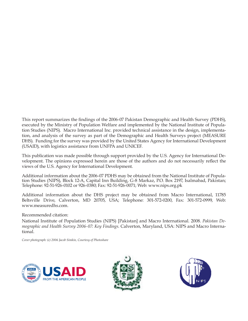This report summarizes the findings of the 2006-07 Pakistan Demographic and Health Survey (PDHS), executed by the Ministry of Population Welfare and implemented by the National Institute of Population Studies (NIPS). Macro International Inc. provided technical assistance in the design, implementation, and analysis of the survey as part of the Demographic and Health Surveys project (MEASURE DHS). Funding for the survey was provided by the United States Agency for International Development (USAID), with logistics assistance from UNFPA and UNICEF.

This publication was made possible through support provided by the U.S. Agency for International Development. The opinions expressed herein are those of the authors and do not necessarily reflect the views of the U.S. Agency for International Development.

Additional information about the 2006-07 PDHS may be obtained from the National Institute of Population Studies (NIPS), Block 12-A, Capital Inn Building, G-8 Markaz, P.O. Box 2197, Isalmabad, Pakistan; Telephone: 92-51-926-0102 or 926-0380; Fax: 92-51-926-0071; Web: www.nips.org.pk

Additional information about the DHS project may be obtained from Macro International, 11785 Beltsville Drive, Calverton, MD 20705, USA; Telephone: 301-572-0200, Fax: 301-572-0999, Web: www.measuredhs.com.

Recommended citation:

National Institute of Population Studies (NIPS) [Pakistan] and Macro International. 2008. *Pakistan Demographic and Health Survey 2006-07: Key Findings*. Calverton, Maryland, USA: NIPS and Macro International.

*Cover photograph: (c) 2006 Jacob Simkin, Courtesy of Photoshare*





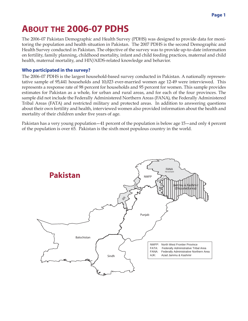# **ABOUT THE 2006-07 PDHS**

The 2006-07 Pakistan Demographic and Health Survey (PDHS) was designed to provide data for monitoring the population and health situation in Pakistan. The 2007 PDHS is the second Demographic and Health Survey conducted in Pakistan. The objective of the survey was to provide up-to-date information on fertility, family planning, childhood mortality, infant and child feeding practices, maternal and child health, maternal mortality, and HIV/AIDS-related knowledge and behavior.

#### **Who participated in the survey?**

The 2006-07 PDHS is the largest household-based survey conducted in Pakistan. A nationally representative sample of 95,441 households and 10,023 ever-married women age 12-49 were interviewed. This represents a response rate of 98 percent for households and 95 percent for women. This sample provides estimates for Pakistan as a whole, for urban and rural areas, and for each of the four provinces. The sample did not include the Federally Administered Northern Areas (FANA), the Federally Administered Tribal Areas (FATA) and restricted military and protected areas. In addition to answering questions about their own fertility and health, interviewed women also provided information about the health and mortality of their children under five years of age.

Pakistan has a very young population—41 percent of the population is below age 15—and only 4 percent of the population is over 65. Pakistan is the sixth most populous country in the world.

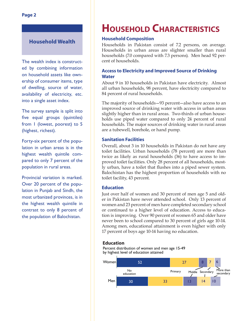#### **Household Wealth**

The wealth index is constructed by combining information on household assets like ownership of consumer items, type of dwelling, source of water, availability of electricity, etc. into a single asset index.

The survey sample is split into five equal groups (quintiles) from 1 (lowest, poorest) to 5 (highest, richest).

Forty-six percent of the population in urban areas is in the highest wealth quintile compared to only 7 percent of the population in rural areas.

Provincial variation is marked. Over 20 percent of the population in Punjab and Sindh, the most urbanized provinces, is in the highest wealth quintile in contrast to only 8 percent of the population of Balochistan.

# **HOUSEHOLD CHARACTERISTICS**

#### **Household Composition**

Households in Pakistan consist of 7.2 persons, on average. Households in urban areas are slighter smaller than rural households (7.0 compared with 7.3 persons). Men head 92 percent of households.

#### **Access to Electricity and Improved Source of Drinking Water**

About 9 in 10 households in Pakistan have electricity. Almost all urban households, 98 percent, have electricity compared to 84 percent of rural households.

The majority of households—93 percent—also have access to an improved source of drinking water with access in urban areas slightly higher than in rural areas. Two-thirds of urban households use piped water compared to only 24 percent of rural households. The major sources of drinking water in rural areas are a tubewell, borehole, or hand pump.

#### **Sanitation Facilities**

Overall, about 3 in 10 households in Pakistan do not have any toilet facilities. Urban households (78 percent) are more than twice as likely as rural households (36) to have access to improved toilet facilities. Only 28 percent of all households, mostly urban, have a toilet that flushes into a piped sewer system. Balochistan has the highest proportion of households with no toilet facility, 43 percent.

#### **Education**

Just over half of women and 30 percent of men age 5 and older in Pakistan have never attended school. Only 13 percent of women and 23 percent of men have completed secondary school or continued to a higher level of education. Access to education is improving. Over 90 percent of women 65 and older have never been to school compared to 30 percent of girls age 10-14. Among men, educational attainment is even higher with only 17 percent of boys age 10-14 having no education.

#### **Education**



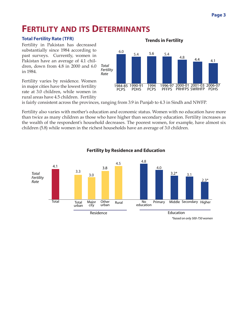### **FERTILITY AND ITS DETERMINANTS**

#### **Total Fertility Rate (TFR)**

Fertility in Pakistan has decreased substantially since 1984 according to past surveys. Currently, women in Pakistan have an average of 4.1 children, down from 4.8 in 2000 and 6.0 in 1984.

Fertility varies by residence. Women in major cities have the lowest fertility rate at 3.0 children, while women in rural areas have 4.5 children. Fertility

#### **Trends in Fertility**



is fairly consistent across the provinces, ranging from 3.9 in Punjab to 4.3 in Sindh and NWFP.

Fertility also varies with mother's education and economic status. Women with no education have more than twice as many children as those who have higher than secondary education. Fertility increases as the wealth of the respondent's household decreases. The poorest women, for example, have almost six children (5.8) while women in the richest households have an average of 3.0 children.



#### **Fertility by Residence and Education**

*\*based on only 500-750 women*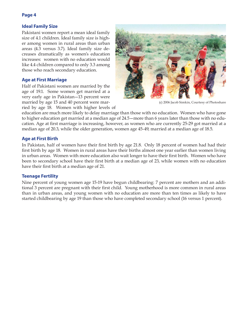#### **Ideal Family Size**

Pakistani women report a mean ideal family size of 4.1 children. Ideal family size is higher among women in rural areas than urban areas (4.3 versus 3.7). Ideal family size decreases dramatically as women's education increases: women with no education would like 4.4 children compared to only 3.3 among those who reach secondary education.

#### **Age at First Marriage**

Half of Pakistani women are married by the age of 19.1. Some women get married at a very early age in Pakistan—13 percent were married by age 15 and 40 percent were married by age 18. Women with higher levels of



(c) 2006 Jacob Simkin, Courtesy of Photoshare

education are much more likely to delay marriage than those with no education. Women who have gone to higher education get married at a median age of 24.5—more than 6 years later than those with no education. Age at first marriage is increasing, however, as women who are currently 25-29 got married at a median age of 20.3, while the older generation, women age 45-49, married at a median age of 18.5.

#### **Age at First Birth**

In Pakistan, half of women have their first birth by age 21.8. Only 18 percent of women had had their first birth by age 18. Women in rural areas have their births almost one year earlier than women living in urban areas. Women with more education also wait longer to have their first birth. Women who have been to secondary school have their first birth at a median age of 23, while women with no education have their first birth at a median age of 21.

#### **Teenage Fertility**

Nine percent of young women age 15-19 have begun childbearing: 7 percent are mothers and an additional 3 percent are pregnant with their first child. Young motherhood is more common in rural areas than in urban areas, and young women with no education are more than ten times as likely to have started childbearing by age 19 than those who have completed secondary school (16 versus 1 percent).

#### **Page 4**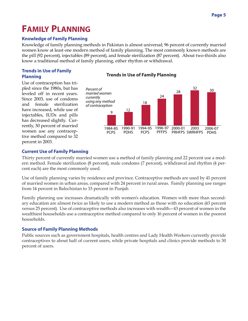# **FAMILY PLANNING**

#### **Knowledge of Family Planning**

Knowledge of family planning methods in Pakistan is almost universal; 96 percent of currently married women know at least one modern method of family planning. The most commonly known methods are the pill (92 percent), injectables (89 percent), and female sterilization (87 percent). About two-thirds also know a traditional method of family planning, either rhythm or withdrawal.

#### **Trends in Use of Family Planning**

Use of contraception has tripled since the 1980s, but has leveled off in recent years. Since 2003, use of condoms and female sterilization have increased, while use of injectables, IUDs and pills has decreased slightly. Currently, 30 percent of married women use any contraceptive method compared to 32 percent in 2003.





#### **Current Use of Family Planning**

Thirty percent of currently married women use a method of family planning and 22 percent use a modern method. Female sterilization (8 percent), male condoms (7 percent), withdrawal and rhythm (4 percent each) are the most commonly used.

Use of family planning varies by residence and province. Contraceptive methods are used by 41 percent of married women in urban areas, compared with 24 percent in rural areas. Family planning use ranges from 14 percent in Balochistan to 33 percent in Punjab.

Family planning use increases dramatically with women's education. Women with more than secondary education are almost twice as likely to use a modern method as those with no education (43 percent versus 25 percent). Use of contraceptive methods also increases with wealth—43 percent of women in the wealthiest households use a contraceptive method compared to only 16 percent of women in the poorest households.

#### **Source of Family Planning Methods**

Public sources such as government hospitals, health centres and Lady Health Workers currently provide contraceptives to about half of current users, while private hospitals and clinics provide methods to 30 percent of users.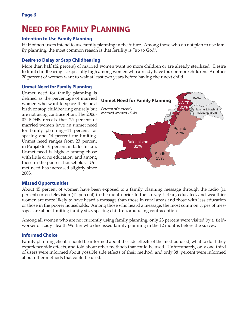## **NEED FOR FAMILY PLANNING**

#### **Intention to Use Family Planning**

Half of non-users intend to use family planning in the future. Among those who do not plan to use family planning, the most common reason is that fertility is "up to God".

#### **Desire to Delay or Stop Childbearing**

More than half (52 percent) of married women want no more children or are already sterilized. Desire to limit childbearing is especially high among women who already have four or more children. Another 20 percent of women want to wait at least two years before having their next child.

#### **Unmet Need for Family Planning**

Unmet need for family planning is defined as the percentage of married women who want to space their next birth or stop childbearing entirely but are not using contraception. The 2006- 07 PDHS reveals that 25 percent of married women have an unmet need for family planning—11 percent for spacing and 14 percent for limiting. Unmet need ranges from 23 percent in Punjab to 31 percent in Balochistan. Unmet need is highest among those with little or no education, and among those in the poorest households. Unmet need has increased slightly since 2003.



#### **Missed Opportunities**

About 45 percent of women have been exposed to a family planning message through the radio (11 percent) or on television (41 percent) in the month prior to the survey. Urban, educated, and wealthier women are more likely to have heard a message than those in rural areas and those with less education or those in the poorer households. Among those who heard a message, the most common types of messages are about limiting family size, spacing children, and using contraception.

Among all women who are not currently using family planning, only 23 percent were visited by a fieldworker or Lady Health Worker who discussed family planning in the 12 months before the survey.

#### **Informed Choice**

Family planning clients should be informed about the side effects of the method used, what to do if they experience side effects, and told about other methods that could be used. Unfortunately, only one-third of users were informed about possible side effects of their method, and only 38 percent were informed about other methods that could be used.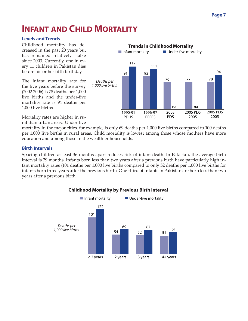### **INFANT AND CHILD MORTALITY**

#### **Levels and Trends**

Childhood mortality has decreased in the past 20 years but has remained relatively stable since 2003. Currently, one in every 11 children in Pakistan dies before his or her fifth birthday.

The infant mortality rate for the five years before the survey (2002-2006) is 78 deaths per 1,000 live births and the under-five mortality rate is 94 deaths per 1,000 live births.



Mortality rates are higher in rural than urban areas. Under-five

mortality in the major cities, for example, is only 69 deaths per 1,000 live births compared to 100 deaths per 1,000 live births in rural areas. Child mortality is lowest among those whose mothers have more education and among those in the wealthier households.

#### **Birth Intervals**

Spacing children at least 36 months apart reduces risk of infant death. In Pakistan, the average birth interval is 29 months. Infants born less than two years after a previous birth have particularly high infant mortality rates (101 deaths per 1,000 live births compared to only 52 deaths per 1,000 live births for infants born three years after the previous birth). One-third of infants in Pakistan are born less than two years after a previous birth.



#### **Childhood Mortality by Previous Birth Interval**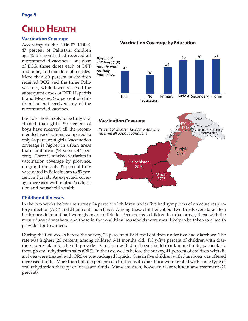### **CHILD HEALTH**

#### **Vaccination Coverage**

According to the 2006-07 PDHS, 47 percent of Pakistani children age 12–23 months had received all recommended vaccines— one dose of BCG, three doses each of DPT and polio, and one dose of measles. More than 80 percent of children received BCG and the three Polio vaccines, while fewer received the subsequent doses of DPT, Hepatitis B and Measles. Six percent of children had not received any of the recommended vaccines.

Boys are more likely to be fully vaccinated than girls—50 percent of boys have received all the recommended vaccinations compared to only 44 percent of girls. Vaccination coverage is higher in urban areas than rural areas (54 versus 44 percent). There is marked variation in vaccination coverage by province, ranging from only 35 percent fully vaccinated in Balochistan to 53 percent in Punjab. As expected, coverage increases with mother's education and household wealth.

#### **Vaccination Coverage by Education**



#### **Childhood Illnesses**

In the two weeks before the survey, 14 percent of children under five had symptoms of an acute respiratory infection (ARI) and 31 percent had a fever. Among these children, about two-thirds were taken to a health provider and half were given an antibiotic. As expected, children in urban areas, those with the most educated mothers, and those in the wealthiest households were most likely to be taken to a health provider for treatment.

During the two weeks before the survey, 22 percent of Pakistani children under five had diarrhoea. The rate was highest (20 percent) among children 6-11 months old. Fifty-five percent of children with diarrhoea were taken to a health provider. Children with diarrhoea should drink more fluids, particularly through oral rehydration salts (ORS). In the two weeks before the survey, 41 percent of children with diarrhoea were treated with ORS or pre-packaged liquids. One in five children with diarrhoea was offered increased fluids. More than half (55 percent) of children with diarrhoea were treated with some type of oral rehydration therapy or increased fluids. Many children, however, went without any treatment (21 percent).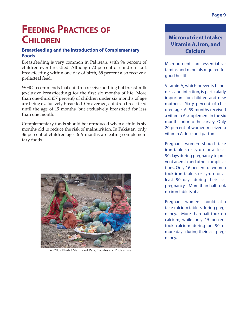# **FEEDING PRACTICES OF CHILDREN**

#### **Breastfeeding and the Introduction of Complementary Foods**

Breastfeeding is very common in Pakistan, with 94 percent of children ever breastfed. Although 70 percent of children start breastfeeding within one day of birth, 65 percent also receive a prelacteal feed.

WHO recommends that children receive nothing but breastmilk (exclusive breastfeeding) for the first six months of life. More than one-third (37 percent) of children under six months of age are being exclusively breastfed. On average, children breastfeed until the age of 19 months, but exclusively breastfeed for less than one month.

Complementary foods should be introduced when a child is six months old to reduce the risk of malnutrition. In Pakistan, only 36 percent of children ages 6–9 months are eating complementary foods.



(c) 2005 Khalid Mahmood Raja, Courtesy of Photoshare

#### **Micronutrient Intake: Vitamin A, Iron, and Calcium**

Micronutrients are essential vitamins and minerals required for good health.

Vitamin A, which prevents blindness and infection, is particularly important for children and new mothers. Sixty percent of children age 6–59 months received a vitamin A supplement in the six months prior to the survey. Only 20 percent of women received a vitamin A dose postpartum.

Pregnant women should take iron tablets or syrup for at least 90 days during pregnancy to prevent anemia and other complications. Only 16 percent of women took iron tablets or syrup for at least 90 days during their last pregnancy. More than half took no iron tablets at all.

Pregnant women should also take calcium tablets during pregnancy. More than half took no calcium, while only 15 percent took calcium during on 90 or more days during their last pregnancy.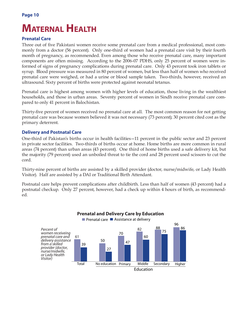# **MATERNAL HEALTH**

#### **Prenatal Care**

Three out of five Pakistani women receive some prenatal care from a medical professional, most commonly from a doctor (56 percent). Only one-third of women had a prenatal care visit by their fourth month of pregnancy, as recommended. Even among those who receive prenatal care, many important components are often missing. According to the 2006-07 PDHS, only 25 percent of women were informed of signs of pregnancy complications during prenatal care. Only 43 percent took iron tablets or syrup. Blood pressure was measured in 80 percent of women, but less than half of women who received prenatal care were weighed, or had a urine or blood sample taken. Two-thirds, however, received an ultrasound. Sixty percent of births were protected against neonatal tetanus.

Prenatal care is highest among women with higher levels of education, those living in the wealthiest households, and those in urban areas. Seventy percent of women in Sindh receive prenatal care compared to only 41 percent in Balochistan.

Thirty-five percent of women received no prenatal care at all. The most common reason for not getting prenatal care was because women believed it was not necessary (73 percent); 30 percent cited cost as the primary deterrent.

#### **Delivery and Postnatal Care**

One-third of Pakistan's births occur in health facilities—11 percent in the public sector and 23 percent in private sector facilities. Two-thirds of births occur at home. Home births are more common in rural areas (74 percent) than urban areas (43 percent). One third of home births used a safe delivery kit, but the majority (79 percent) used an unboiled threat to tie the cord and 28 percent used scissors to cut the cord.

Thirty-nine percent of births are assisted by a skilled provider (doctor, nurse/midwife, or Lady Health Visitor). Half are assisted by a DAI or Traditional Birth Attendant.

Postnatal care helps prevent complications after childbirth. Less than half of women (43 percent) had a postnatal checkup. Only 27 percent, however, had a check up within 4 hours of birth, as recommended.

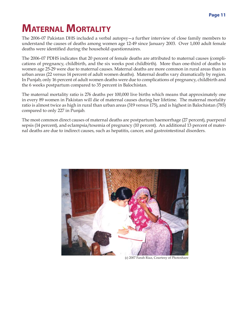# **MATERNAL MORTALITY**

The 2006-07 Pakistan DHS included a verbal autopsy—a further interview of close family members to understand the causes of deaths among women age 12-49 since January 2003. Over 1,000 adult female deaths were identified during the household questionnaires.

The 2006-07 PDHS indicates that 20 percent of female deaths are attributed to maternal causes (complications of pregnancy, childbirth, and the six weeks post childbirth). More than one-third of deaths to women age 25-29 were due to maternal causes. Maternal deaths are more common in rural areas than in urban areas (22 versus 14 percent of adult women deaths). Maternal deaths vary dramatically by region. In Punjab, only 16 percent of adult women deaths were due to complications of pregnancy, childbirth and the 6 weeks postpartum compared to 35 percent in Balochistan.

The maternal mortality ratio is 276 deaths per 100,000 live births which means that approximately one in every 89 women in Pakistan will die of maternal causes during her lifetime. The maternal mortality ratio is almost twice as high in rural than urban areas (319 versus 175), and is highest in Balochistan (785) compared to only 227 in Punjab.

The most common direct causes of maternal deaths are postpartum haemorrhage (27 percent), puerperal sepsis (14 percent), and eclampsia/toxemia of pregnancy (10 percent). An additional 13 percent of maternal deaths are due to indirect causes, such as hepatitis, cancer, and gastrointestinal disorders.



(c) 2007 Farah Riaz, Courtesy of Photoshare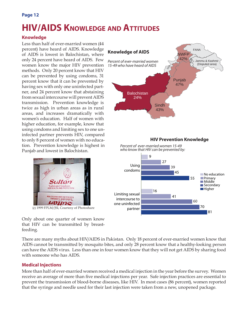#### **Page 12**

### **HIV/AIDS KNOWLEDGE AND ATTITUDES**

#### **Knowledge**

Less than half of ever-married women (44 percent) have heard of AIDS. Knowledge of AIDS is lowest in Balochistan, where only 24 percent have heard of AIDS. Few women know the major HIV prevention methods. Only 20 percent know that HIV can be prevented by using condoms, 31 percent know that it can be prevented by having sex with only one uninfected partner, and 24 percent know that abstaining from sexual intercourse will prevent AIDS transmission. Prevention knowledge is twice as high in urban areas as in rural areas, and increases dramatically with women's education. Half of women with higher education, for example, know that using condoms and limiting sex to one uninfected partner prevents HIV, compared to only 8 percent of women with no education. Prevention knowledge is highest in Punjab and lowest in Balochistan.



(c) 1999 FPLM/JSI, Courtesy of Photoshare **partner** 

Only about one quarter of women know that HIV can be transmitted by breastfeeding.

There are many myths about HIV/AIDS in Pakistan. Only 18 percent of ever-married women know that AIDS cannot be transmitted by mosquito bites, and only 28 percent know that a healthy-looking person can have the AIDS virus. Less than one in four women know that they will not get AIDS by sharing food with someone who has AIDS.

#### **Medical Injections**

More than half of ever-married women received a medical injection in the year before the survey. Women receive an average of more than five medical injections per year. Safe injection practices are essential to prevent the transmission of blood-borne diseases, like HIV. In most cases (86 percent), women reported that the syringe and needle used for their last injection were taken from a new, unopened package.

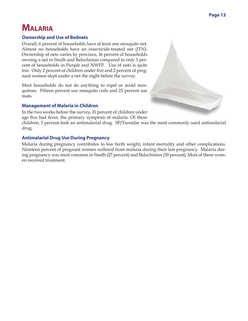### **MALARIA**

#### **Ownership and Use of Bednets**

Overall, 6 percent of households have at least one mosquito net. Almost no households have an insecticide-treated net (ITN). Ownership of nets varies by province, 16 percent of households owning a net in Sindh and Balochistan compared to only 3 percent of households in Punjab and NWFP. Use of nets is quite low. Only 2 percent of children under five and 2 percent of pregnant women slept under a net the night before the survey.

Most households do not do anything to repel or avoid mosquitoes. Fifteen percent use mosquito coils and 23 percent use mats.

#### **Management of Malaria in Children**

In the two weeks before the survey, 31 percent of children under age five had fever, the primary symptom of malaria. Of these

children, 3 percent took an antimalarial drug. SP/Fansidar was the most commonly used antimalarial drug.

#### **Antimalarial Drug Use During Pregnancy**

Malaria during pregnancy contributes to low birth weight, infant mortality and other complications. Nineteen percent of pregnant women suffered from malaria during their last pregnancy. Malaria during pregnancy was most common in Sindh (27 percent) and Balochistan (30 percent). Most of these women received treatment.

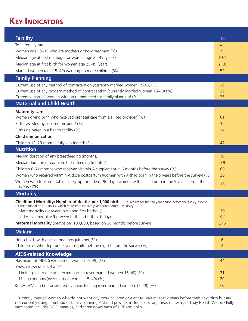### **KEY INDICATORS**

| <b>Fertility</b>                                                                                                                                | <b>Total</b>   |
|-------------------------------------------------------------------------------------------------------------------------------------------------|----------------|
| Total fertility rate                                                                                                                            | 4.1            |
| Women age 15-19 who are mothers or now pregnant (%)                                                                                             | 9              |
| Median age at first marriage for women age 25-49 (years)                                                                                        | 19.1           |
| Median age at first birth for women age 25-49 (years)                                                                                           | 21.8           |
| Married women (age 15-49) wanting no more children (%)                                                                                          | 52             |
| <b>Family Planning</b>                                                                                                                          |                |
| Current use of any method of contraception (currently married women 15-49) (%)                                                                  | 30             |
| Current use of any modern method of contraception (currently married women 15-49) (%)                                                           | 22             |
| Currently married women with an unmet need for family planning <sup>1</sup> (%)                                                                 | 25             |
| <b>Maternal and Child Health</b>                                                                                                                |                |
| <b>Maternity care</b>                                                                                                                           |                |
| Women giving birth who received prenatal care from a skilled provider <sup>2</sup> (%)                                                          | 61             |
| Births assisted by a skilled provider <sup>2</sup> (%)                                                                                          | 39             |
| Births delivered in a health facility (%)                                                                                                       | 34             |
| <b>Child immunization</b>                                                                                                                       |                |
| Children 12-23 months fully vaccinated <sup>3</sup> (%)<br><b>Nutrition</b>                                                                     | 47             |
|                                                                                                                                                 |                |
| Median duration of any breastfeeding (months)                                                                                                   | 19<br>0.9      |
| Median duration of exclusive breastfeeding (months)<br>Children 6-59 months who received vitamin A supplement in 6 months before the survey (%) | 60             |
| Women who received vitamin A dose postpartum (women with a child born in the 5 years before the survey) (%)                                     | 20             |
| Women who took iron tablets or syrup for at least 90 days (women with a child born in the 5 years before the                                    |                |
| survey) (%)                                                                                                                                     | 16             |
| <b>Mortality</b>                                                                                                                                |                |
| Childhood Mortality: Number of deaths per 1,000 births (Figures are for the ten-year period before the survey, except                           |                |
| for the national rate, in italics, which represents the five-year period before the survey)                                                     |                |
| Infant mortality (between birth and first birthday)<br>Under-five mortality (between birth and fifth birthday)                                  | 78<br>94       |
| Maternal Mortality (deaths per 100,000, based on 36 months before survey)                                                                       | 276            |
|                                                                                                                                                 |                |
| <b>Malaria</b>                                                                                                                                  |                |
| Households with at least one mosquito net (%)                                                                                                   | 6              |
| Children $<$ 5 who slept under a mosquito net the night before the survey (%)                                                                   | $\overline{2}$ |
| <b>AIDS-related Knowledge</b>                                                                                                                   |                |
| Has heard of AIDS (ever-married women 15-49) (%)                                                                                                | 44             |
| Knows ways to avoid AIDS:                                                                                                                       |                |
| -Limiting sex to one uninfected partner (ever-married women 15-49) (%)<br>-Using condoms (ever-married women 15-49) (%)                         | 31<br>20       |
| Knows HIV can be transmitted by breastfeeding (ever-married women 15-49) (%)                                                                    | 28             |
|                                                                                                                                                 |                |

1 Currently married women who do not want any more children or want to wait at least 2 years before their next birth but are not currently using a method of family planning. <sup>2</sup> Skilled provider includes doctor, nurse, midwife, or Lady Health Visitor. <sup>3</sup> Fully vaccinated includes BCG, measles, and three doses each of DPT and polio